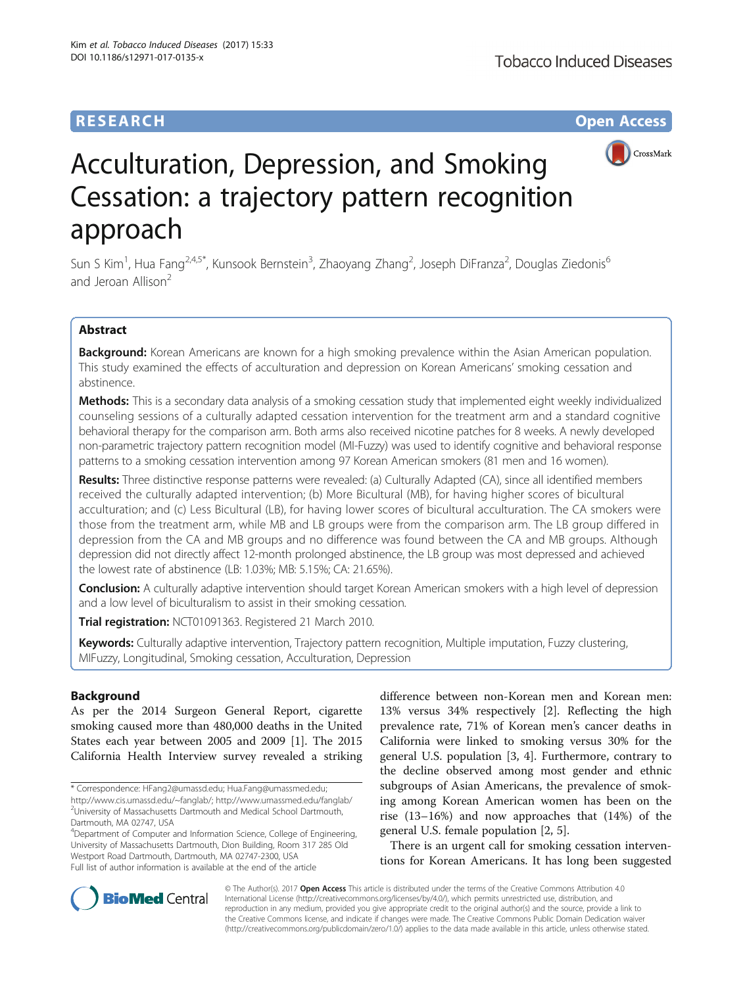# **RESEARCH CHE Open Access**



# Acculturation, Depression, and Smoking Cessation: a trajectory pattern recognition approach

Sun S Kim<sup>1</sup>, Hua Fang<sup>2,4,5\*</sup>, Kunsook Bernstein<sup>3</sup>, Zhaoyang Zhang<sup>2</sup>, Joseph DiFranza<sup>2</sup>, Douglas Ziedonis<sup>6</sup> and Jeroan Allison<sup>2</sup>

# Abstract

Background: Korean Americans are known for a high smoking prevalence within the Asian American population. This study examined the effects of acculturation and depression on Korean Americans' smoking cessation and abstinence.

Methods: This is a secondary data analysis of a smoking cessation study that implemented eight weekly individualized counseling sessions of a culturally adapted cessation intervention for the treatment arm and a standard cognitive behavioral therapy for the comparison arm. Both arms also received nicotine patches for 8 weeks. A newly developed non-parametric trajectory pattern recognition model (MI-Fuzzy) was used to identify cognitive and behavioral response patterns to a smoking cessation intervention among 97 Korean American smokers (81 men and 16 women).

Results: Three distinctive response patterns were revealed: (a) Culturally Adapted (CA), since all identified members received the culturally adapted intervention; (b) More Bicultural (MB), for having higher scores of bicultural acculturation; and (c) Less Bicultural (LB), for having lower scores of bicultural acculturation. The CA smokers were those from the treatment arm, while MB and LB groups were from the comparison arm. The LB group differed in depression from the CA and MB groups and no difference was found between the CA and MB groups. Although depression did not directly affect 12-month prolonged abstinence, the LB group was most depressed and achieved the lowest rate of abstinence (LB: 1.03%; MB: 5.15%; CA: 21.65%).

**Conclusion:** A culturally adaptive intervention should target Korean American smokers with a high level of depression and a low level of biculturalism to assist in their smoking cessation.

Trial registration: [NCT01091363](https://clinicaltrials.gov/ct2/show/NCT01091363). Registered 21 March 2010.

Keywords: Culturally adaptive intervention, Trajectory pattern recognition, Multiple imputation, Fuzzy clustering, MIFuzzy, Longitudinal, Smoking cessation, Acculturation, Depression

# Background

As per the 2014 Surgeon General Report, cigarette smoking caused more than 480,000 deaths in the United States each year between 2005 and 2009 [\[1](#page-8-0)]. The 2015 California Health Interview survey revealed a striking

<sup>4</sup>Department of Computer and Information Science, College of Engineering, University of Massachusetts Dartmouth, Dion Building, Room 317 285 Old Westport Road Dartmouth, Dartmouth, MA 02747-2300, USA Full list of author information is available at the end of the article

difference between non-Korean men and Korean men: 13% versus 34% respectively [[2\]](#page-8-0). Reflecting the high prevalence rate, 71% of Korean men's cancer deaths in California were linked to smoking versus 30% for the general U.S. population [\[3](#page-8-0), [4](#page-8-0)]. Furthermore, contrary to the decline observed among most gender and ethnic subgroups of Asian Americans, the prevalence of smoking among Korean American women has been on the rise (13–16%) and now approaches that (14%) of the general U.S. female population [[2](#page-8-0), [5](#page-8-0)].

There is an urgent call for smoking cessation interventions for Korean Americans. It has long been suggested



© The Author(s). 2017 **Open Access** This article is distributed under the terms of the Creative Commons Attribution 4.0 International License [\(http://creativecommons.org/licenses/by/4.0/](http://creativecommons.org/licenses/by/4.0/)), which permits unrestricted use, distribution, and reproduction in any medium, provided you give appropriate credit to the original author(s) and the source, provide a link to the Creative Commons license, and indicate if changes were made. The Creative Commons Public Domain Dedication waiver [\(http://creativecommons.org/publicdomain/zero/1.0/](http://creativecommons.org/publicdomain/zero/1.0/)) applies to the data made available in this article, unless otherwise stated.

<sup>\*</sup> Correspondence: [HFang2@umassd.edu;](mailto:HFang2@umassd.edu) [Hua.Fang@umassmed.edu](mailto:Hua.Fang@umassmed.edu); [http://www.cis.umassd.edu/~fanglab/;](http://www.cis.umassd.edu/~fanglab/) <http://www.umassmed.edu/fanglab/> <sup>2</sup> <sup>2</sup>University of Massachusetts Dartmouth and Medical School Dartmouth, Dartmouth, MA 02747, USA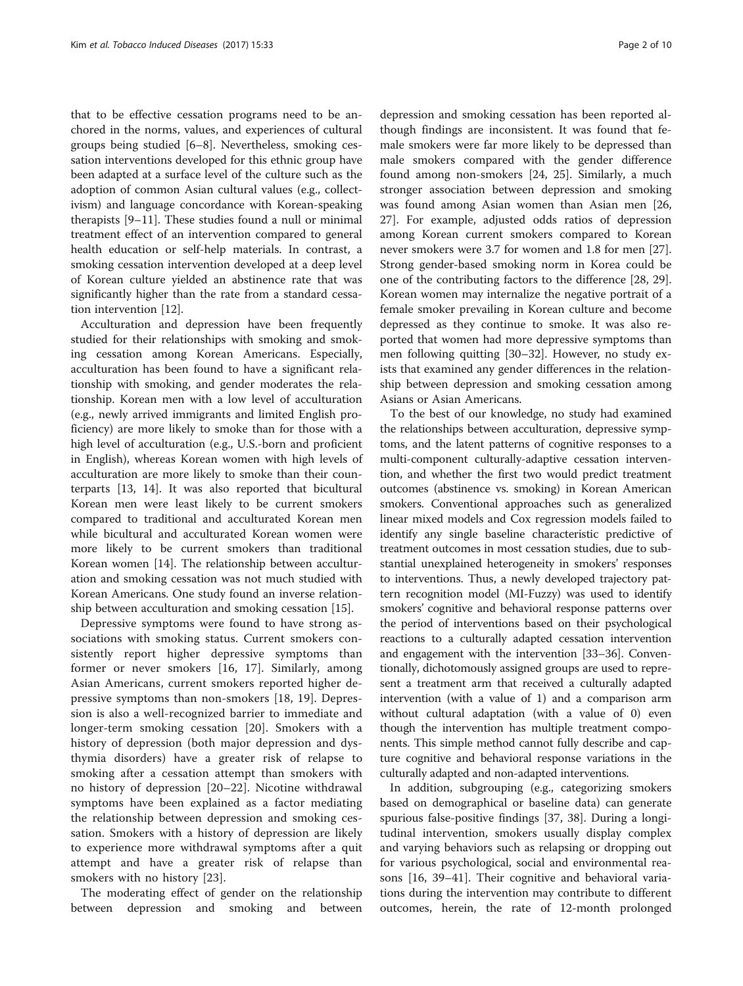that to be effective cessation programs need to be anchored in the norms, values, and experiences of cultural groups being studied [[6](#page-8-0)–[8\]](#page-8-0). Nevertheless, smoking cessation interventions developed for this ethnic group have been adapted at a surface level of the culture such as the adoption of common Asian cultural values (e.g., collectivism) and language concordance with Korean-speaking therapists [[9](#page-8-0)–[11](#page-9-0)]. These studies found a null or minimal treatment effect of an intervention compared to general health education or self-help materials. In contrast, a smoking cessation intervention developed at a deep level of Korean culture yielded an abstinence rate that was significantly higher than the rate from a standard cessation intervention [\[12\]](#page-9-0).

Acculturation and depression have been frequently studied for their relationships with smoking and smoking cessation among Korean Americans. Especially, acculturation has been found to have a significant relationship with smoking, and gender moderates the relationship. Korean men with a low level of acculturation (e.g., newly arrived immigrants and limited English proficiency) are more likely to smoke than for those with a high level of acculturation (e.g., U.S.-born and proficient in English), whereas Korean women with high levels of acculturation are more likely to smoke than their counterparts [\[13, 14](#page-9-0)]. It was also reported that bicultural Korean men were least likely to be current smokers compared to traditional and acculturated Korean men while bicultural and acculturated Korean women were more likely to be current smokers than traditional Korean women [\[14](#page-9-0)]. The relationship between acculturation and smoking cessation was not much studied with Korean Americans. One study found an inverse relationship between acculturation and smoking cessation [[15\]](#page-9-0).

Depressive symptoms were found to have strong associations with smoking status. Current smokers consistently report higher depressive symptoms than former or never smokers [\[16](#page-9-0), [17](#page-9-0)]. Similarly, among Asian Americans, current smokers reported higher depressive symptoms than non-smokers [[18, 19\]](#page-9-0). Depression is also a well-recognized barrier to immediate and longer-term smoking cessation [[20\]](#page-9-0). Smokers with a history of depression (both major depression and dysthymia disorders) have a greater risk of relapse to smoking after a cessation attempt than smokers with no history of depression [[20](#page-9-0)–[22\]](#page-9-0). Nicotine withdrawal symptoms have been explained as a factor mediating the relationship between depression and smoking cessation. Smokers with a history of depression are likely to experience more withdrawal symptoms after a quit attempt and have a greater risk of relapse than smokers with no history [[23\]](#page-9-0).

The moderating effect of gender on the relationship between depression and smoking and between

depression and smoking cessation has been reported although findings are inconsistent. It was found that female smokers were far more likely to be depressed than male smokers compared with the gender difference found among non-smokers [\[24, 25\]](#page-9-0). Similarly, a much stronger association between depression and smoking was found among Asian women than Asian men [[26](#page-9-0), [27\]](#page-9-0). For example, adjusted odds ratios of depression among Korean current smokers compared to Korean never smokers were 3.7 for women and 1.8 for men [\[27](#page-9-0)]. Strong gender-based smoking norm in Korea could be one of the contributing factors to the difference [\[28](#page-9-0), [29](#page-9-0)]. Korean women may internalize the negative portrait of a female smoker prevailing in Korean culture and become depressed as they continue to smoke. It was also reported that women had more depressive symptoms than men following quitting [\[30](#page-9-0)–[32\]](#page-9-0). However, no study exists that examined any gender differences in the relationship between depression and smoking cessation among Asians or Asian Americans.

To the best of our knowledge, no study had examined the relationships between acculturation, depressive symptoms, and the latent patterns of cognitive responses to a multi-component culturally-adaptive cessation intervention, and whether the first two would predict treatment outcomes (abstinence vs. smoking) in Korean American smokers. Conventional approaches such as generalized linear mixed models and Cox regression models failed to identify any single baseline characteristic predictive of treatment outcomes in most cessation studies, due to substantial unexplained heterogeneity in smokers' responses to interventions. Thus, a newly developed trajectory pattern recognition model (MI-Fuzzy) was used to identify smokers' cognitive and behavioral response patterns over the period of interventions based on their psychological reactions to a culturally adapted cessation intervention and engagement with the intervention [[33](#page-9-0)–[36\]](#page-9-0). Conventionally, dichotomously assigned groups are used to represent a treatment arm that received a culturally adapted intervention (with a value of 1) and a comparison arm without cultural adaptation (with a value of 0) even though the intervention has multiple treatment components. This simple method cannot fully describe and capture cognitive and behavioral response variations in the culturally adapted and non-adapted interventions.

In addition, subgrouping (e.g., categorizing smokers based on demographical or baseline data) can generate spurious false-positive findings [\[37](#page-9-0), [38\]](#page-9-0). During a longitudinal intervention, smokers usually display complex and varying behaviors such as relapsing or dropping out for various psychological, social and environmental reasons [\[16](#page-9-0), [39](#page-9-0)–[41](#page-9-0)]. Their cognitive and behavioral variations during the intervention may contribute to different outcomes, herein, the rate of 12-month prolonged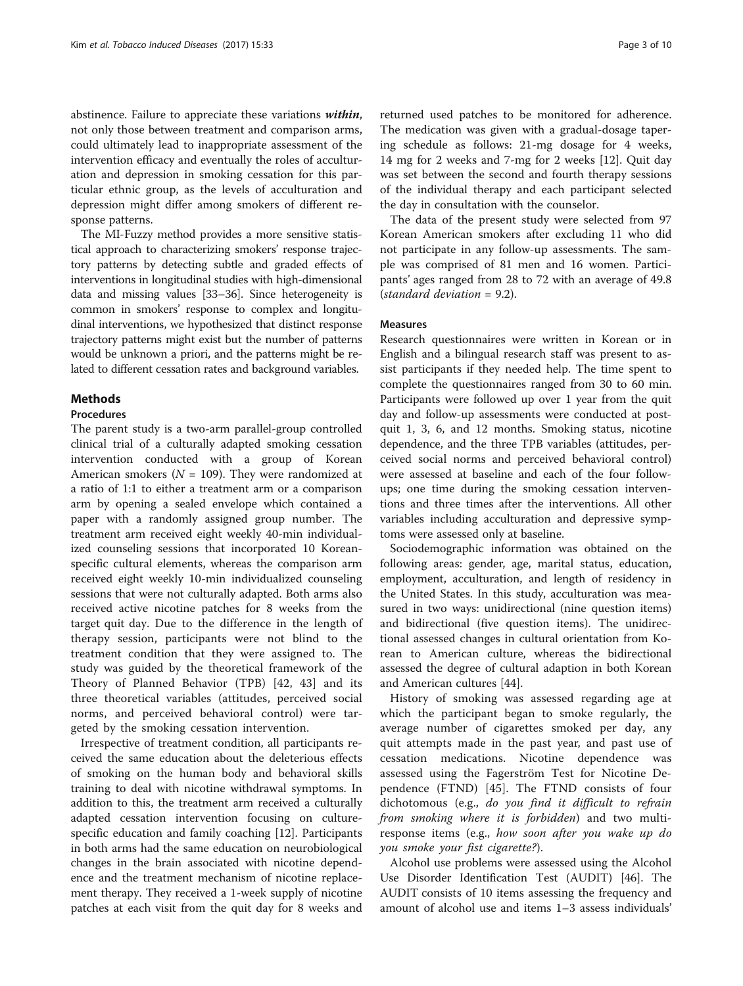abstinence. Failure to appreciate these variations within, not only those between treatment and comparison arms, could ultimately lead to inappropriate assessment of the intervention efficacy and eventually the roles of acculturation and depression in smoking cessation for this particular ethnic group, as the levels of acculturation and depression might differ among smokers of different response patterns.

The MI-Fuzzy method provides a more sensitive statistical approach to characterizing smokers' response trajectory patterns by detecting subtle and graded effects of interventions in longitudinal studies with high-dimensional data and missing values [\[33](#page-9-0)–[36\]](#page-9-0). Since heterogeneity is common in smokers' response to complex and longitudinal interventions, we hypothesized that distinct response trajectory patterns might exist but the number of patterns would be unknown a priori, and the patterns might be related to different cessation rates and background variables.

# **Methods**

#### Procedures

The parent study is a two-arm parallel-group controlled clinical trial of a culturally adapted smoking cessation intervention conducted with a group of Korean American smokers ( $N = 109$ ). They were randomized at a ratio of 1:1 to either a treatment arm or a comparison arm by opening a sealed envelope which contained a paper with a randomly assigned group number. The treatment arm received eight weekly 40-min individualized counseling sessions that incorporated 10 Koreanspecific cultural elements, whereas the comparison arm received eight weekly 10-min individualized counseling sessions that were not culturally adapted. Both arms also received active nicotine patches for 8 weeks from the target quit day. Due to the difference in the length of therapy session, participants were not blind to the treatment condition that they were assigned to. The study was guided by the theoretical framework of the Theory of Planned Behavior (TPB) [\[42](#page-9-0), [43](#page-9-0)] and its three theoretical variables (attitudes, perceived social norms, and perceived behavioral control) were targeted by the smoking cessation intervention.

Irrespective of treatment condition, all participants received the same education about the deleterious effects of smoking on the human body and behavioral skills training to deal with nicotine withdrawal symptoms. In addition to this, the treatment arm received a culturally adapted cessation intervention focusing on culturespecific education and family coaching [[12](#page-9-0)]. Participants in both arms had the same education on neurobiological changes in the brain associated with nicotine dependence and the treatment mechanism of nicotine replacement therapy. They received a 1-week supply of nicotine patches at each visit from the quit day for 8 weeks and

returned used patches to be monitored for adherence. The medication was given with a gradual-dosage tapering schedule as follows: 21-mg dosage for 4 weeks, 14 mg for 2 weeks and 7-mg for 2 weeks [[12\]](#page-9-0). Quit day was set between the second and fourth therapy sessions of the individual therapy and each participant selected the day in consultation with the counselor.

The data of the present study were selected from 97 Korean American smokers after excluding 11 who did not participate in any follow-up assessments. The sample was comprised of 81 men and 16 women. Participants' ages ranged from 28 to 72 with an average of 49.8  $(standard deviation = 9.2)$ .

# Measures

Research questionnaires were written in Korean or in English and a bilingual research staff was present to assist participants if they needed help. The time spent to complete the questionnaires ranged from 30 to 60 min. Participants were followed up over 1 year from the quit day and follow-up assessments were conducted at postquit 1, 3, 6, and 12 months. Smoking status, nicotine dependence, and the three TPB variables (attitudes, perceived social norms and perceived behavioral control) were assessed at baseline and each of the four followups; one time during the smoking cessation interventions and three times after the interventions. All other variables including acculturation and depressive symptoms were assessed only at baseline.

Sociodemographic information was obtained on the following areas: gender, age, marital status, education, employment, acculturation, and length of residency in the United States. In this study, acculturation was measured in two ways: unidirectional (nine question items) and bidirectional (five question items). The unidirectional assessed changes in cultural orientation from Korean to American culture, whereas the bidirectional assessed the degree of cultural adaption in both Korean and American cultures [\[44](#page-9-0)].

History of smoking was assessed regarding age at which the participant began to smoke regularly, the average number of cigarettes smoked per day, any quit attempts made in the past year, and past use of cessation medications. Nicotine dependence was assessed using the Fagerström Test for Nicotine Dependence (FTND) [\[45](#page-9-0)]. The FTND consists of four dichotomous (e.g., do you find it difficult to refrain from smoking where it is forbidden) and two multiresponse items (e.g., how soon after you wake up do you smoke your fist cigarette?).

Alcohol use problems were assessed using the Alcohol Use Disorder Identification Test (AUDIT) [[46\]](#page-9-0). The AUDIT consists of 10 items assessing the frequency and amount of alcohol use and items 1–3 assess individuals'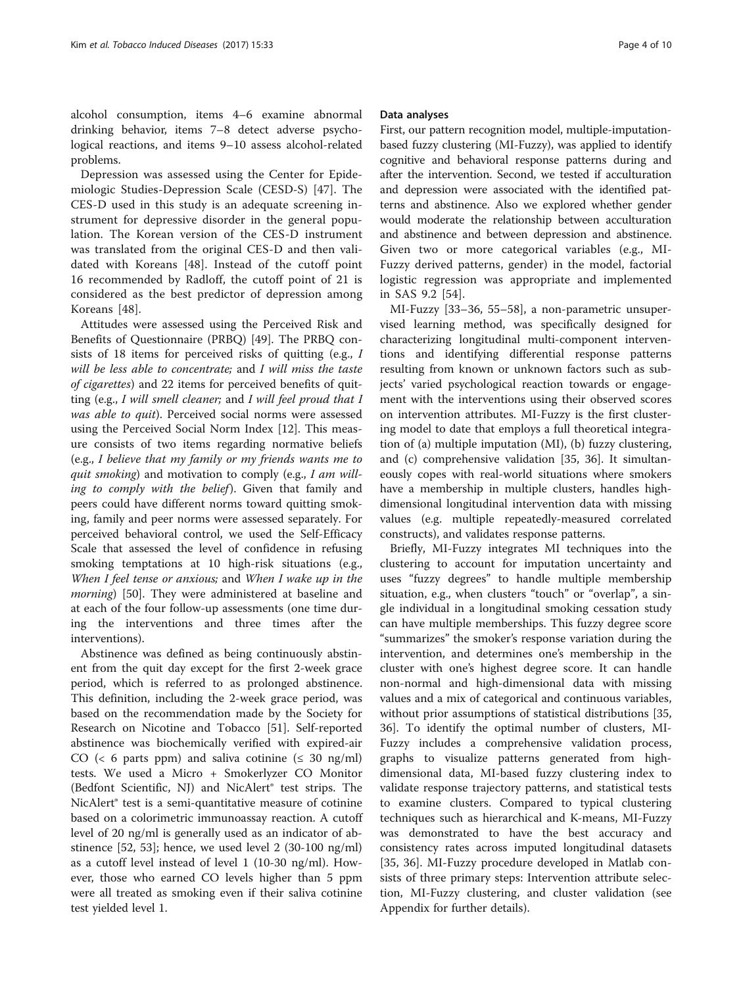alcohol consumption, items 4–6 examine abnormal drinking behavior, items 7–8 detect adverse psychological reactions, and items 9–10 assess alcohol-related problems.

Depression was assessed using the Center for Epidemiologic Studies-Depression Scale (CESD-S) [\[47](#page-9-0)]. The CES-D used in this study is an adequate screening instrument for depressive disorder in the general population. The Korean version of the CES-D instrument was translated from the original CES-D and then validated with Koreans [[48\]](#page-9-0). Instead of the cutoff point 16 recommended by Radloff, the cutoff point of 21 is considered as the best predictor of depression among Koreans [[48\]](#page-9-0).

Attitudes were assessed using the Perceived Risk and Benefits of Questionnaire (PRBQ) [[49](#page-9-0)]. The PRBQ consists of 18 items for perceived risks of quitting (e.g., I will be less able to concentrate; and I will miss the taste of cigarettes) and 22 items for perceived benefits of quitting (e.g., I will smell cleaner; and I will feel proud that I was able to quit). Perceived social norms were assessed using the Perceived Social Norm Index [[12\]](#page-9-0). This measure consists of two items regarding normative beliefs (e.g., I believe that my family or my friends wants me to quit smoking) and motivation to comply (e.g., I am willing to comply with the belief). Given that family and peers could have different norms toward quitting smoking, family and peer norms were assessed separately. For perceived behavioral control, we used the Self-Efficacy Scale that assessed the level of confidence in refusing smoking temptations at 10 high-risk situations (e.g., When I feel tense or anxious; and When I wake up in the morning) [\[50\]](#page-9-0). They were administered at baseline and at each of the four follow-up assessments (one time during the interventions and three times after the interventions).

Abstinence was defined as being continuously abstinent from the quit day except for the first 2-week grace period, which is referred to as prolonged abstinence. This definition, including the 2-week grace period, was based on the recommendation made by the Society for Research on Nicotine and Tobacco [\[51\]](#page-9-0). Self-reported abstinence was biochemically verified with expired-air CO (< 6 parts ppm) and saliva cotinine ( $\leq$  30 ng/ml) tests. We used a Micro + Smokerlyzer CO Monitor (Bedfont Scientific, NJ) and NicAlert® test strips. The NicAlert® test is a semi-quantitative measure of cotinine based on a colorimetric immunoassay reaction. A cutoff level of 20 ng/ml is generally used as an indicator of abstinence [[52, 53](#page-9-0)]; hence, we used level 2 (30-100 ng/ml) as a cutoff level instead of level 1 (10-30 ng/ml). However, those who earned CO levels higher than 5 ppm were all treated as smoking even if their saliva cotinine test yielded level 1.

## Data analyses

First, our pattern recognition model, multiple-imputationbased fuzzy clustering (MI-Fuzzy), was applied to identify cognitive and behavioral response patterns during and after the intervention. Second, we tested if acculturation and depression were associated with the identified patterns and abstinence. Also we explored whether gender would moderate the relationship between acculturation and abstinence and between depression and abstinence. Given two or more categorical variables (e.g., MI-Fuzzy derived patterns, gender) in the model, factorial logistic regression was appropriate and implemented in SAS 9.2 [[54](#page-9-0)].

MI-Fuzzy [\[33](#page-9-0)–[36, 55](#page-9-0)–[58\]](#page-9-0), a non-parametric unsupervised learning method, was specifically designed for characterizing longitudinal multi-component interventions and identifying differential response patterns resulting from known or unknown factors such as subjects' varied psychological reaction towards or engagement with the interventions using their observed scores on intervention attributes. MI-Fuzzy is the first clustering model to date that employs a full theoretical integration of (a) multiple imputation (MI), (b) fuzzy clustering, and (c) comprehensive validation [[35](#page-9-0), [36\]](#page-9-0). It simultaneously copes with real-world situations where smokers have a membership in multiple clusters, handles highdimensional longitudinal intervention data with missing values (e.g. multiple repeatedly-measured correlated constructs), and validates response patterns.

Briefly, MI-Fuzzy integrates MI techniques into the clustering to account for imputation uncertainty and uses "fuzzy degrees" to handle multiple membership situation, e.g., when clusters "touch" or "overlap", a single individual in a longitudinal smoking cessation study can have multiple memberships. This fuzzy degree score "summarizes" the smoker's response variation during the intervention, and determines one's membership in the cluster with one's highest degree score. It can handle non-normal and high-dimensional data with missing values and a mix of categorical and continuous variables, without prior assumptions of statistical distributions [[35](#page-9-0), [36\]](#page-9-0). To identify the optimal number of clusters, MI-Fuzzy includes a comprehensive validation process, graphs to visualize patterns generated from highdimensional data, MI-based fuzzy clustering index to validate response trajectory patterns, and statistical tests to examine clusters. Compared to typical clustering techniques such as hierarchical and K-means, MI-Fuzzy was demonstrated to have the best accuracy and consistency rates across imputed longitudinal datasets [[35, 36](#page-9-0)]. MI-Fuzzy procedure developed in Matlab consists of three primary steps: Intervention attribute selection, MI-Fuzzy clustering, and cluster validation (see Appendix for further details).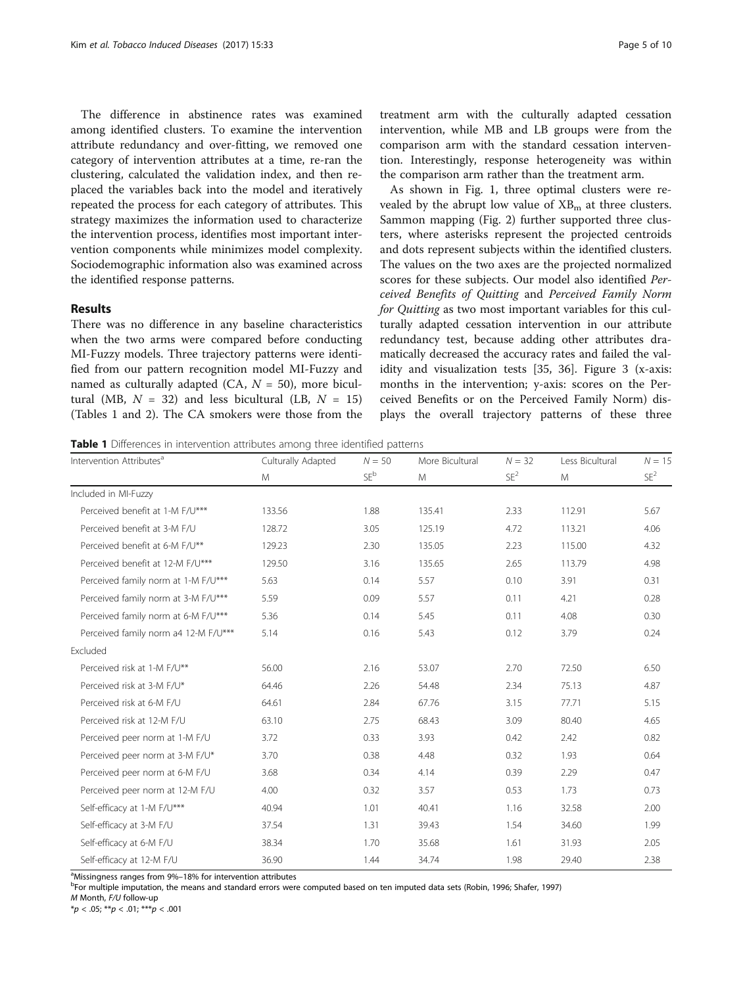<span id="page-4-0"></span>The difference in abstinence rates was examined among identified clusters. To examine the intervention attribute redundancy and over-fitting, we removed one category of intervention attributes at a time, re-ran the clustering, calculated the validation index, and then replaced the variables back into the model and iteratively repeated the process for each category of attributes. This strategy maximizes the information used to characterize the intervention process, identifies most important intervention components while minimizes model complexity. Sociodemographic information also was examined across the identified response patterns.

# Results

There was no difference in any baseline characteristics when the two arms were compared before conducting MI-Fuzzy models. Three trajectory patterns were identified from our pattern recognition model MI-Fuzzy and named as culturally adapted  $(CA, N = 50)$ , more bicultural (MB,  $N = 32$ ) and less bicultural (LB,  $N = 15$ ) (Tables 1 and [2\)](#page-5-0). The CA smokers were those from the

treatment arm with the culturally adapted cessation intervention, while MB and LB groups were from the comparison arm with the standard cessation intervention. Interestingly, response heterogeneity was within the comparison arm rather than the treatment arm.

As shown in Fig. [1](#page-5-0), three optimal clusters were revealed by the abrupt low value of  $XB<sub>m</sub>$  at three clusters. Sammon mapping (Fig. [2](#page-5-0)) further supported three clusters, where asterisks represent the projected centroids and dots represent subjects within the identified clusters. The values on the two axes are the projected normalized scores for these subjects. Our model also identified Perceived Benefits of Quitting and Perceived Family Norm for Quitting as two most important variables for this culturally adapted cessation intervention in our attribute redundancy test, because adding other attributes dramatically decreased the accuracy rates and failed the validity and visualization tests [[35](#page-9-0), [36\]](#page-9-0). Figure [3](#page-6-0) (x-axis: months in the intervention; y-axis: scores on the Perceived Benefits or on the Perceived Family Norm) displays the overall trajectory patterns of these three

Table 1 Differences in intervention attributes among three identified patterns

| Intervention Attributes <sup>a</sup> | Culturally Adapted<br>M | $N = 50$<br>SEb | More Bicultural<br>M | $N = 32$<br>SE <sup>2</sup> | Less Bicultural<br>M | $N = 15$<br>SE <sup>2</sup> |
|--------------------------------------|-------------------------|-----------------|----------------------|-----------------------------|----------------------|-----------------------------|
|                                      |                         |                 |                      |                             |                      |                             |
| Perceived benefit at 1-M F/U***      | 133.56                  | 1.88            | 135.41               | 2.33                        | 112.91               | 5.67                        |
| Perceived benefit at 3-M F/U         | 128.72                  | 3.05            | 125.19               | 4.72                        | 113.21               | 4.06                        |
| Perceived benefit at 6-M F/U**       | 129.23                  | 2.30            | 135.05               | 2.23                        | 115.00               | 4.32                        |
| Perceived benefit at 12-M F/U***     | 129.50                  | 3.16            | 135.65               | 2.65                        | 113.79               | 4.98                        |
| Perceived family norm at 1-M F/U***  | 5.63                    | 0.14            | 5.57                 | 0.10                        | 3.91                 | 0.31                        |
| Perceived family norm at 3-M F/U***  | 5.59                    | 0.09            | 5.57                 | 0.11                        | 4.21                 | 0.28                        |
| Perceived family norm at 6-M F/U***  | 5.36                    | 0.14            | 5.45                 | 0.11                        | 4.08                 | 0.30                        |
| Perceived family norm a4 12-M F/U*** | 5.14                    | 0.16            | 5.43                 | 0.12                        | 3.79                 | 0.24                        |
| Excluded                             |                         |                 |                      |                             |                      |                             |
| Perceived risk at 1-M F/U**          | 56.00                   | 2.16            | 53.07                | 2.70                        | 72.50                | 6.50                        |
| Perceived risk at 3-M F/U*           | 64.46                   | 2.26            | 54.48                | 2.34                        | 75.13                | 4.87                        |
| Perceived risk at 6-M F/U            | 64.61                   | 2.84            | 67.76                | 3.15                        | 77.71                | 5.15                        |
| Perceived risk at 12-M F/U           | 63.10                   | 2.75            | 68.43                | 3.09                        | 80.40                | 4.65                        |
| Perceived peer norm at 1-M F/U       | 3.72                    | 0.33            | 3.93                 | 0.42                        | 2.42                 | 0.82                        |
| Perceived peer norm at 3-M F/U*      | 3.70                    | 0.38            | 4.48                 | 0.32                        | 1.93                 | 0.64                        |
| Perceived peer norm at 6-M F/U       | 3.68                    | 0.34            | 4.14                 | 0.39                        | 2.29                 | 0.47                        |
| Perceived peer norm at 12-M F/U      | 4.00                    | 0.32            | 3.57                 | 0.53                        | 1.73                 | 0.73                        |
| Self-efficacy at 1-M F/U***          | 40.94                   | 1.01            | 40.41                | 1.16                        | 32.58                | 2.00                        |
| Self-efficacy at 3-M F/U             | 37.54                   | 1.31            | 39.43                | 1.54                        | 34.60                | 1.99                        |
| Self-efficacy at 6-M F/U             | 38.34                   | 1.70            | 35.68                | 1.61                        | 31.93                | 2.05                        |
| Self-efficacy at 12-M F/U            | 36.90                   | 1.44            | 34.74                | 1.98                        | 29.40                | 2.38                        |

<sup>a</sup>Missingness ranges from 9%–18% for intervention attributes<br><sup>b</sup>Eer multiple imputation, the means and standard errors were

<sup>b</sup>For multiple imputation, the means and standard errors were computed based on ten imputed data sets (Robin, 1996; Shafer, 1997)

M Month, F/U follow-up

 $*p < .05; **p < .01; **p < .001$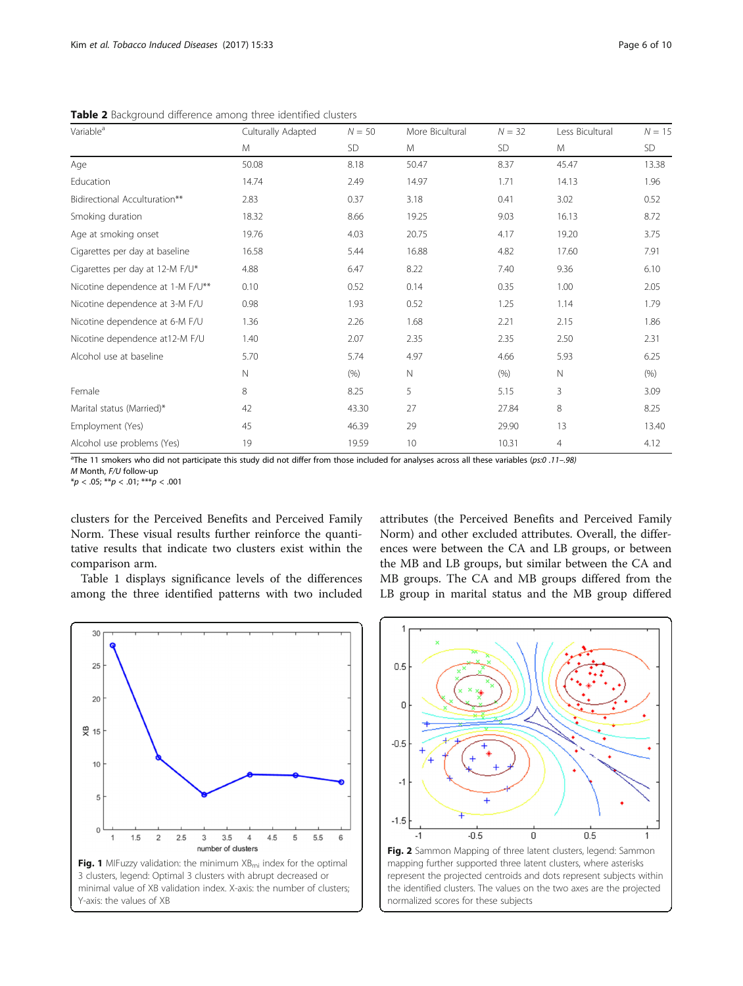| Variable <sup>a</sup>            | Culturally Adapted<br>M | $N = 50$ | More Bicultural | $N = 32$ | Less Bicultural | $N = 15$  |
|----------------------------------|-------------------------|----------|-----------------|----------|-----------------|-----------|
|                                  |                         | SD.      | M               | SD       | M               | <b>SD</b> |
| Age                              | 50.08                   | 8.18     | 50.47           | 8.37     | 45.47           | 13.38     |
| Education                        | 14.74                   | 2.49     | 14.97           | 1.71     | 14.13           | 1.96      |
| Bidirectional Acculturation**    | 2.83                    | 0.37     | 3.18            | 0.41     | 3.02            | 0.52      |
| Smoking duration                 | 18.32                   | 8.66     | 19.25           | 9.03     | 16.13           | 8.72      |
| Age at smoking onset             | 19.76                   | 4.03     | 20.75           | 4.17     | 19.20           | 3.75      |
| Cigarettes per day at baseline   | 16.58                   | 5.44     | 16.88           | 4.82     | 17.60           | 7.91      |
| Cigarettes per day at 12-M F/U*  | 4.88                    | 6.47     | 8.22            | 7.40     | 9.36            | 6.10      |
| Nicotine dependence at 1-M F/U** | 0.10                    | 0.52     | 0.14            | 0.35     | 1.00            | 2.05      |
| Nicotine dependence at 3-M F/U   | 0.98                    | 1.93     | 0.52            | 1.25     | 1.14            | 1.79      |
| Nicotine dependence at 6-M F/U   | 1.36                    | 2.26     | 1.68            | 2.21     | 2.15            | 1.86      |
| Nicotine dependence at 12-M F/U  | 1.40                    | 2.07     | 2.35            | 2.35     | 2.50            | 2.31      |
| Alcohol use at baseline          | 5.70                    | 5.74     | 4.97            | 4.66     | 5.93            | 6.25      |
|                                  | N                       | (% )     | $\mathbb N$     | (% )     | $\mathsf{N}$    | (% )      |
| Female                           | 8                       | 8.25     | 5               | 5.15     | 3               | 3.09      |
| Marital status (Married)*        | 42                      | 43.30    | 27              | 27.84    | 8               | 8.25      |
| Employment (Yes)                 | 45                      | 46.39    | 29              | 29.90    | 13              | 13.40     |
| Alcohol use problems (Yes)       | 19                      | 19.59    | 10              | 10.31    | 4               | 4.12      |

<span id="page-5-0"></span>Table 2 Background difference among three identified clusters

a The 11 smokers who did not participate this study did not differ from those included for analyses across all these variables (ps:0 .11–.98)

M Month, F/U follow-up  $*p < .05; **p < .01; **p < .001$ 

clusters for the Perceived Benefits and Perceived Family Norm. These visual results further reinforce the quantitative results that indicate two clusters exist within the comparison arm.

Table [1](#page-4-0) displays significance levels of the differences among the three identified patterns with two included

attributes (the Perceived Benefits and Perceived Family Norm) and other excluded attributes. Overall, the differences were between the CA and LB groups, or between the MB and LB groups, but similar between the CA and MB groups. The CA and MB groups differed from the LB group in marital status and the MB group differed





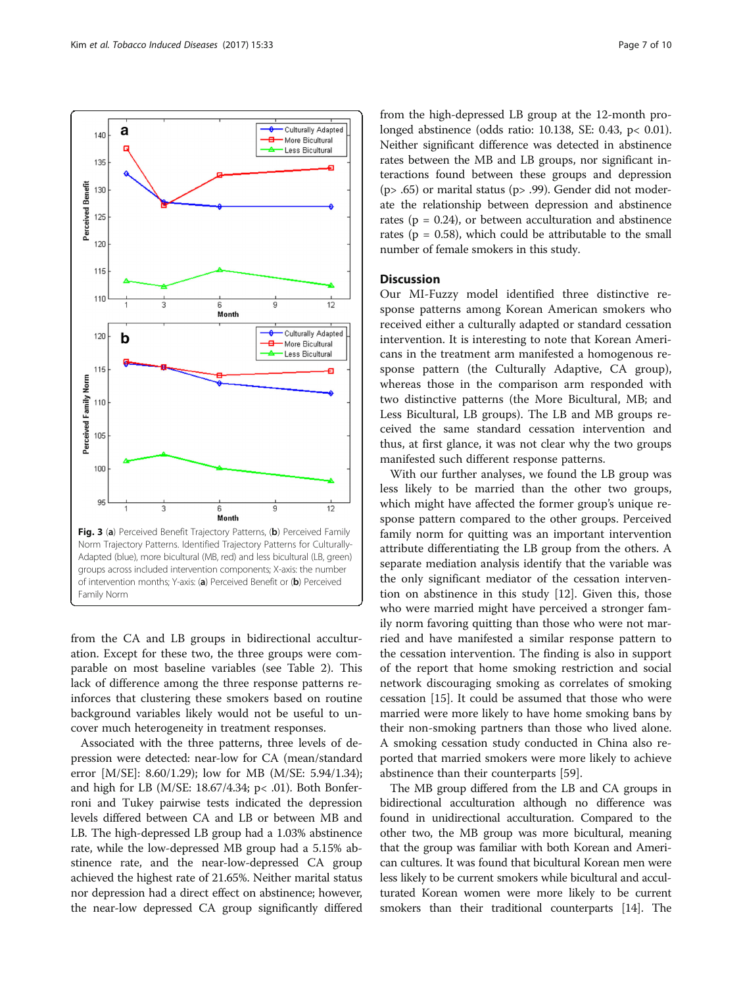<span id="page-6-0"></span>

from the CA and LB groups in bidirectional acculturation. Except for these two, the three groups were comparable on most baseline variables (see Table [2](#page-5-0)). This lack of difference among the three response patterns reinforces that clustering these smokers based on routine background variables likely would not be useful to uncover much heterogeneity in treatment responses.

Associated with the three patterns, three levels of depression were detected: near-low for CA (mean/standard error [M/SE]: 8.60/1.29); low for MB (M/SE: 5.94/1.34); and high for LB (M/SE: 18.67/4.34; p< .01). Both Bonferroni and Tukey pairwise tests indicated the depression levels differed between CA and LB or between MB and LB. The high-depressed LB group had a 1.03% abstinence rate, while the low-depressed MB group had a 5.15% abstinence rate, and the near-low-depressed CA group achieved the highest rate of 21.65%. Neither marital status nor depression had a direct effect on abstinence; however, the near-low depressed CA group significantly differed

from the high-depressed LB group at the 12-month prolonged abstinence (odds ratio: 10.138, SE: 0.43, p< 0.01). Neither significant difference was detected in abstinence rates between the MB and LB groups, nor significant interactions found between these groups and depression (p> .65) or marital status (p> .99). Gender did not moderate the relationship between depression and abstinence rates ( $p = 0.24$ ), or between acculturation and abstinence rates ( $p = 0.58$ ), which could be attributable to the small number of female smokers in this study.

# **Discussion**

Our MI-Fuzzy model identified three distinctive response patterns among Korean American smokers who received either a culturally adapted or standard cessation intervention. It is interesting to note that Korean Americans in the treatment arm manifested a homogenous response pattern (the Culturally Adaptive, CA group), whereas those in the comparison arm responded with two distinctive patterns (the More Bicultural, MB; and Less Bicultural, LB groups). The LB and MB groups received the same standard cessation intervention and thus, at first glance, it was not clear why the two groups manifested such different response patterns.

With our further analyses, we found the LB group was less likely to be married than the other two groups, which might have affected the former group's unique response pattern compared to the other groups. Perceived family norm for quitting was an important intervention attribute differentiating the LB group from the others. A separate mediation analysis identify that the variable was the only significant mediator of the cessation intervention on abstinence in this study [[12\]](#page-9-0). Given this, those who were married might have perceived a stronger family norm favoring quitting than those who were not married and have manifested a similar response pattern to the cessation intervention. The finding is also in support of the report that home smoking restriction and social network discouraging smoking as correlates of smoking cessation [\[15](#page-9-0)]. It could be assumed that those who were married were more likely to have home smoking bans by their non-smoking partners than those who lived alone. A smoking cessation study conducted in China also reported that married smokers were more likely to achieve abstinence than their counterparts [[59\]](#page-9-0).

The MB group differed from the LB and CA groups in bidirectional acculturation although no difference was found in unidirectional acculturation. Compared to the other two, the MB group was more bicultural, meaning that the group was familiar with both Korean and American cultures. It was found that bicultural Korean men were less likely to be current smokers while bicultural and acculturated Korean women were more likely to be current smokers than their traditional counterparts [\[14\]](#page-9-0). The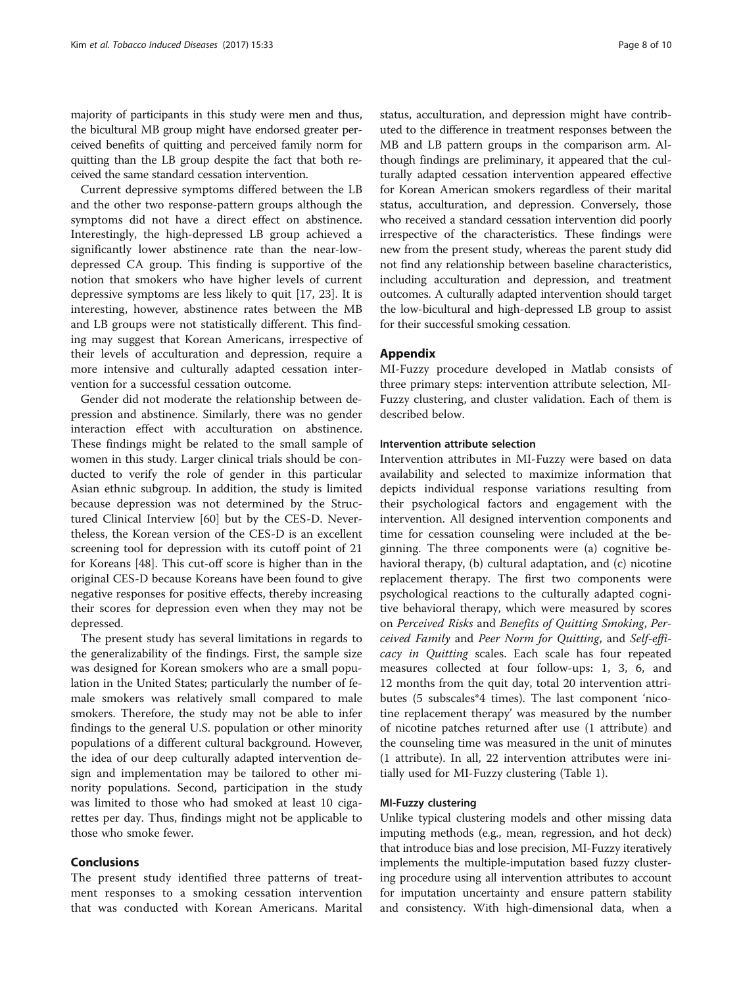majority of participants in this study were men and thus, the bicultural MB group might have endorsed greater perceived benefits of quitting and perceived family norm for quitting than the LB group despite the fact that both received the same standard cessation intervention.

Current depressive symptoms differed between the LB and the other two response-pattern groups although the symptoms did not have a direct effect on abstinence. Interestingly, the high-depressed LB group achieved a significantly lower abstinence rate than the near-lowdepressed CA group. This finding is supportive of the notion that smokers who have higher levels of current depressive symptoms are less likely to quit [\[17](#page-9-0), [23\]](#page-9-0). It is interesting, however, abstinence rates between the MB and LB groups were not statistically different. This finding may suggest that Korean Americans, irrespective of their levels of acculturation and depression, require a more intensive and culturally adapted cessation intervention for a successful cessation outcome.

Gender did not moderate the relationship between depression and abstinence. Similarly, there was no gender interaction effect with acculturation on abstinence. These findings might be related to the small sample of women in this study. Larger clinical trials should be conducted to verify the role of gender in this particular Asian ethnic subgroup. In addition, the study is limited because depression was not determined by the Structured Clinical Interview [\[60](#page-9-0)] but by the CES-D. Nevertheless, the Korean version of the CES-D is an excellent screening tool for depression with its cutoff point of 21 for Koreans [\[48](#page-9-0)]. This cut-off score is higher than in the original CES-D because Koreans have been found to give negative responses for positive effects, thereby increasing their scores for depression even when they may not be depressed.

The present study has several limitations in regards to the generalizability of the findings. First, the sample size was designed for Korean smokers who are a small population in the United States; particularly the number of female smokers was relatively small compared to male smokers. Therefore, the study may not be able to infer findings to the general U.S. population or other minority populations of a different cultural background. However, the idea of our deep culturally adapted intervention design and implementation may be tailored to other minority populations. Second, participation in the study was limited to those who had smoked at least 10 cigarettes per day. Thus, findings might not be applicable to those who smoke fewer.

# Conclusions

The present study identified three patterns of treatment responses to a smoking cessation intervention that was conducted with Korean Americans. Marital status, acculturation, and depression might have contributed to the difference in treatment responses between the MB and LB pattern groups in the comparison arm. Although findings are preliminary, it appeared that the culturally adapted cessation intervention appeared effective for Korean American smokers regardless of their marital status, acculturation, and depression. Conversely, those who received a standard cessation intervention did poorly irrespective of the characteristics. These findings were new from the present study, whereas the parent study did not find any relationship between baseline characteristics, including acculturation and depression, and treatment outcomes. A culturally adapted intervention should target the low-bicultural and high-depressed LB group to assist for their successful smoking cessation.

## Appendix

MI-Fuzzy procedure developed in Matlab consists of three primary steps: intervention attribute selection, MI-Fuzzy clustering, and cluster validation. Each of them is described below.

# Intervention attribute selection

Intervention attributes in MI-Fuzzy were based on data availability and selected to maximize information that depicts individual response variations resulting from their psychological factors and engagement with the intervention. All designed intervention components and time for cessation counseling were included at the beginning. The three components were (a) cognitive behavioral therapy, (b) cultural adaptation, and (c) nicotine replacement therapy. The first two components were psychological reactions to the culturally adapted cognitive behavioral therapy, which were measured by scores on Perceived Risks and Benefits of Quitting Smoking, Perceived Family and Peer Norm for Quitting, and Self-efficacy in Quitting scales. Each scale has four repeated measures collected at four follow-ups: 1, 3, 6, and 12 months from the quit day, total 20 intervention attributes (5 subscales\*4 times). The last component 'nicotine replacement therapy' was measured by the number of nicotine patches returned after use (1 attribute) and the counseling time was measured in the unit of minutes (1 attribute). In all, 22 intervention attributes were initially used for MI-Fuzzy clustering (Table [1](#page-4-0)).

#### MI-Fuzzy clustering

Unlike typical clustering models and other missing data imputing methods (e.g., mean, regression, and hot deck) that introduce bias and lose precision, MI-Fuzzy iteratively implements the multiple-imputation based fuzzy clustering procedure using all intervention attributes to account for imputation uncertainty and ensure pattern stability and consistency. With high-dimensional data, when a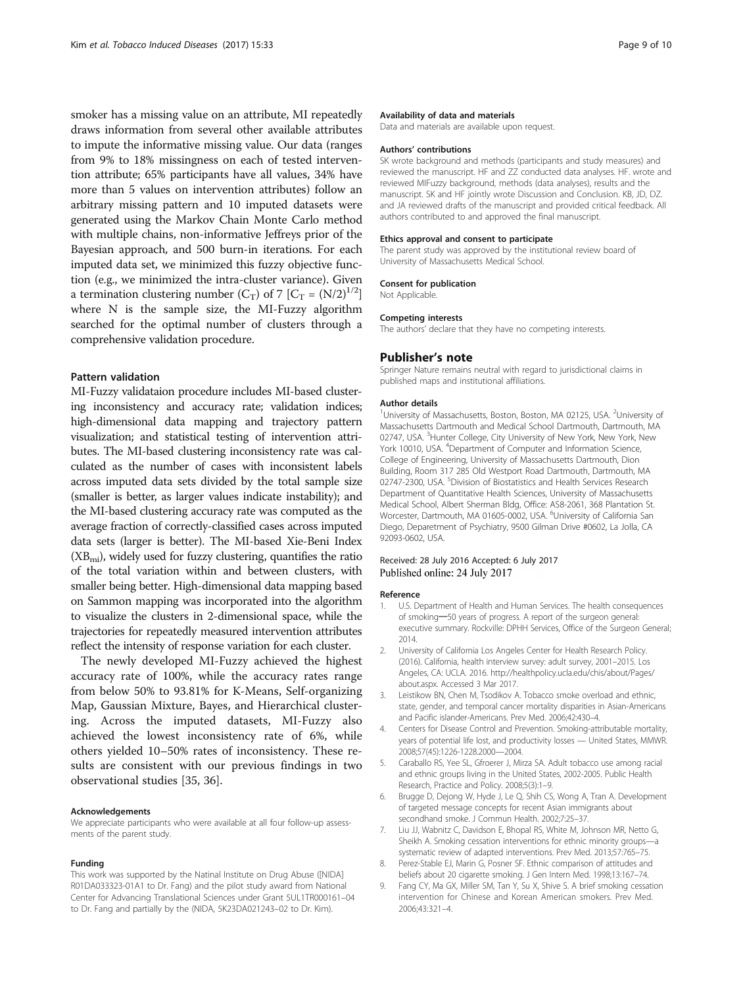<span id="page-8-0"></span>smoker has a missing value on an attribute, MI repeatedly draws information from several other available attributes to impute the informative missing value. Our data (ranges from 9% to 18% missingness on each of tested intervention attribute; 65% participants have all values, 34% have more than 5 values on intervention attributes) follow an arbitrary missing pattern and 10 imputed datasets were generated using the Markov Chain Monte Carlo method with multiple chains, non-informative Jeffreys prior of the Bayesian approach, and 500 burn-in iterations. For each imputed data set, we minimized this fuzzy objective function (e.g., we minimized the intra-cluster variance). Given a termination clustering number (C<sub>T</sub>) of 7 [C<sub>T</sub> =  $(N/2)^{1/2}$ ] where N is the sample size, the MI-Fuzzy algorithm searched for the optimal number of clusters through a comprehensive validation procedure.

## Pattern validation

MI-Fuzzy validataion procedure includes MI-based clustering inconsistency and accuracy rate; validation indices; high-dimensional data mapping and trajectory pattern visualization; and statistical testing of intervention attributes. The MI-based clustering inconsistency rate was calculated as the number of cases with inconsistent labels across imputed data sets divided by the total sample size (smaller is better, as larger values indicate instability); and the MI-based clustering accuracy rate was computed as the average fraction of correctly-classified cases across imputed data sets (larger is better). The MI-based Xie-Beni Index  $(XB<sub>mi</sub>)$ , widely used for fuzzy clustering, quantifies the ratio of the total variation within and between clusters, with smaller being better. High-dimensional data mapping based on Sammon mapping was incorporated into the algorithm to visualize the clusters in 2-dimensional space, while the trajectories for repeatedly measured intervention attributes reflect the intensity of response variation for each cluster.

The newly developed MI-Fuzzy achieved the highest accuracy rate of 100%, while the accuracy rates range from below 50% to 93.81% for K-Means, Self-organizing Map, Gaussian Mixture, Bayes, and Hierarchical clustering. Across the imputed datasets, MI-Fuzzy also achieved the lowest inconsistency rate of 6%, while others yielded 10–50% rates of inconsistency. These results are consistent with our previous findings in two observational studies [\[35](#page-9-0), [36](#page-9-0)].

#### Acknowledgements

We appreciate participants who were available at all four follow-up assessments of the parent study.

#### Funding

This work was supported by the Natinal Institute on Drug Abuse ([NIDA] R01DA033323-01A1 to Dr. Fang) and the pilot study award from National Center for Advancing Translational Sciences under Grant 5UL1TR000161–04 to Dr. Fang and partially by the (NIDA, 5K23DA021243–02 to Dr. Kim).

#### Availability of data and materials

Data and materials are available upon request.

#### Authors' contributions

SK wrote background and methods (participants and study measures) and reviewed the manuscript. HF and ZZ conducted data analyses. HF. wrote and reviewed MIFuzzy background, methods (data analyses), results and the manuscript. SK and HF jointly wrote Discussion and Conclusion. KB, JD, DZ. and JA reviewed drafts of the manuscript and provided critical feedback. All authors contributed to and approved the final manuscript.

#### Ethics approval and consent to participate

The parent study was approved by the institutional review board of University of Massachusetts Medical School.

#### Consent for publication

Not Applicable.

#### Competing interests

The authors' declare that they have no competing interests.

## Publisher's note

Springer Nature remains neutral with regard to jurisdictional claims in published maps and institutional affiliations.

#### Author details

<sup>1</sup>University of Massachusetts, Boston, Boston, MA 02125, USA. <sup>2</sup>University of Massachusetts Dartmouth and Medical School Dartmouth, Dartmouth, MA 02747, USA. <sup>3</sup>Hunter College, City University of New York, New York, New York 10010, USA. <sup>4</sup>Department of Computer and Information Science, College of Engineering, University of Massachusetts Dartmouth, Dion Building, Room 317 285 Old Westport Road Dartmouth, Dartmouth, MA 02747-2300, USA. <sup>5</sup>Division of Biostatistics and Health Services Research Department of Quantitative Health Sciences, University of Massachusetts Medical School, Albert Sherman Bldg, Office: AS8-2061, 368 Plantation St. Worcester, Dartmouth, MA 01605-0002, USA. <sup>6</sup>University of California San Diego, Deparetment of Psychiatry, 9500 Gilman Drive #0602, La Jolla, CA 92093-0602, USA.

## Received: 28 July 2016 Accepted: 6 July 2017 Published online: 24 July 2017

#### Reference

- 1. U.S. Department of Health and Human Services. The health consequences of smoking─50 years of progress. A report of the surgeon general: executive summary. Rockville: DPHH Services, Office of the Surgeon General; 2014.
- 2. University of California Los Angeles Center for Health Research Policy. (2016). California, health interview survey: adult survey, 2001–2015. Los Angeles, CA: UCLA. 2016. [http://healthpolicy.ucla.edu/chis/about/Pages/](http://healthpolicy.ucla.edu/chis/about/Pages/about.aspx) [about.aspx](http://healthpolicy.ucla.edu/chis/about/Pages/about.aspx). Accessed 3 Mar 2017.
- 3. Leistikow BN, Chen M, Tsodikov A. Tobacco smoke overload and ethnic, state, gender, and temporal cancer mortality disparities in Asian-Americans and Pacific islander-Americans. Prev Med. 2006;42:430–4.
- 4. Centers for Disease Control and Prevention. Smoking-attributable mortality, years of potential life lost, and productivity losses — United States, MMWR. 2008;57(45):1226-1228.2000—2004.
- 5. Caraballo RS, Yee SL, Gfroerer J, Mirza SA. Adult tobacco use among racial and ethnic groups living in the United States, 2002-2005. Public Health Research, Practice and Policy. 2008;5(3):1–9.
- 6. Brugge D, Dejong W, Hyde J, Le Q, Shih CS, Wong A, Tran A. Development of targeted message concepts for recent Asian immigrants about secondhand smoke. J Commun Health. 2002;7:25–37.
- 7. Liu JJ, Wabnitz C, Davidson E, Bhopal RS, White M, Johnson MR, Netto G, Sheikh A. Smoking cessation interventions for ethnic minority groups—a systematic review of adapted interventions. Prev Med. 2013;57:765–75.
- 8. Perez-Stable EJ, Marin G, Posner SF. Ethnic comparison of attitudes and beliefs about 20 cigarette smoking. J Gen Intern Med. 1998;13:167–74.
- 9. Fang CY, Ma GX, Miller SM, Tan Y, Su X, Shive S. A brief smoking cessation intervention for Chinese and Korean American smokers. Prev Med. 2006;43:321–4.